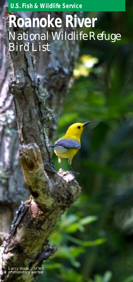**U.S. Fish & Wildlife Service**

# **Roanoke River** *National Wildlife Refuge Bird List*

*Larry Wade, USFWS prothonotary warbler*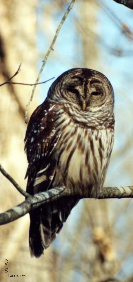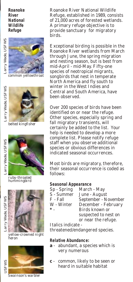### **Roanoke River National Wildlife Refuge**

Larry Wade, USFWS

Larry Wade, USFWS



*common yellowthroat*



*belted kingfisher*





*ruby-throated hummingbird*



*yellow-crowned night heron*



Roanoke River National Wildlife Refuge, established in 1989, consists of 21,000 acres of forested wetlands. A primary refuge objective is to provide sanctuary for migratory birds.

Exceptional birding is possible in the Roanoke River wetlands from March through June, the spring migration and nesting season, but is best from mid-April - mid-May. Fifty-one species of neotropical migrants, songbirds that nest in temperate North America and fly south to winter in the West Indies and Central and South America, have been observed.

Over 200 species of birds have been identified on or near the refuge. Other species, especially spring and fall migratory transients, will certainly be added to the list. Your help is needed to develop a more complete list. Please notify refuge staff when you observe additional species or obvious differences in indicated seasonal occurrences.

Most birds are migratory, therefore, their seasonal occurrence is coded as follows:

#### **Seasonal Appearance**

| S - Summer |
|------------|

March - May June - August September - November December - February **\*** - Birds known or suspected to nest on or near the refuge.

Italics indicate -

threatened/endangered species.

## **Relative Abundance:**

- **a** abundant, a species which is very numerous
- **c**  common, likely to be seen or heard in suitable habitat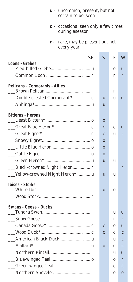- **u**  uncommon, present, but not certain to be seen
- **o**  occasional seen only a few times during aseason
- **r**  rare, may be present but not every year

| SP                                    | S            | F            | W            |
|---------------------------------------|--------------|--------------|--------------|
| Loons - Grebes                        |              | 0            | u            |
|                                       |              | r            | r            |
| <b>Pelicans - Cormorants - Allies</b> |              |              |              |
|                                       |              | r            |              |
| Double-crested Cormorant* c           | $\mathbf{u}$ | u            | u            |
|                                       | u            |              |              |
| <b>Bitterns - Herons</b>              |              |              |              |
|                                       | $\bf{0}$     |              |              |
|                                       | $\mathbf{C}$ | $\mathbf{C}$ | <b>u</b>     |
|                                       | $\mathbf{C}$ | u            | r            |
|                                       | $\mathbf{O}$ |              |              |
|                                       | $\mathbf{0}$ |              |              |
|                                       | $\mathbf{O}$ |              |              |
|                                       | u            | u            |              |
| Black-crowned Night Heron  r          |              |              | r            |
| __Yellow-crowned Night Heron*  u      | <b>u</b>     | u            |              |
| <b>Ibises - Storks</b>                |              |              |              |
|                                       | $\mathbf{O}$ | $\mathbf{0}$ |              |
|                                       |              |              |              |
| Swans - Geese - Ducks                 |              |              |              |
|                                       |              | u            | u            |
|                                       |              | r            | r            |
|                                       | $\mathbf c$  | 0            | u            |
|                                       | $\mathbf{C}$ | $\mathbf C$  | $\mathbf{C}$ |
|                                       |              | u            | $\mathbf{C}$ |
|                                       | $\mathbf{O}$ | $\mathbf{C}$ | $\mathbf{C}$ |
|                                       |              | u            | u            |
|                                       |              | 0            | r            |
|                                       |              | C            | $\mathbf{C}$ |
|                                       |              | 0            | $\mathbf{O}$ |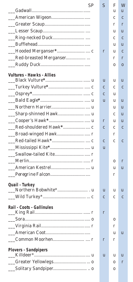| SP                               | $\mathcal{S}$ | F           | W            |
|----------------------------------|---------------|-------------|--------------|
|                                  |               | u           | u            |
|                                  |               | C           | C            |
|                                  |               | r           | r            |
|                                  |               | u           | u            |
|                                  |               | $\mathbf c$ | $\mathbf{C}$ |
|                                  |               | u           | u            |
|                                  | r             | u           | $\mathbf c$  |
| Red-breasted Merganser           |               | r           | r            |
|                                  |               | 0           | $\bf{0}$     |
| <b>Vultures - Hawks - Allies</b> | u             | u           | u            |
|                                  | $\mathbf{C}$  | C           | $\mathbf{C}$ |
|                                  | $\mathbf{C}$  | u           |              |
|                                  | u             | u           | u            |
|                                  |               | u           | u            |
|                                  |               | C           | u            |
|                                  | r             | u           | u            |
|                                  | $\mathbf c$   | C           | $\mathbf{C}$ |
|                                  |               | r           |              |
|                                  | $\mathbf{C}$  | C           | $\mathbf{C}$ |
|                                  | u             |             |              |
|                                  |               |             |              |
|                                  |               | 0           | r            |
|                                  |               | u           | u            |
|                                  |               | r           |              |
| Quail - Turkey                   | u             | u           | u            |
|                                  | $\mathbf{C}$  | C           | $\mathbf{C}$ |
| Rail - Coots - Gallinules        | r             |             |              |
|                                  |               | 0           |              |
|                                  |               | r           |              |
|                                  |               | u           | u            |
|                                  | r             | r           |              |
| <b>Plovers - Sandpipers</b>      | u             | u           | u            |
|                                  |               | 0           | r            |
|                                  |               | 0           |              |
|                                  |               |             |              |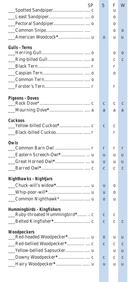| .SP                               | S            | F | W            |
|-----------------------------------|--------------|---|--------------|
|                                   |              | u |              |
|                                   |              | 0 |              |
|                                   |              | 0 |              |
|                                   |              | 0 | $\bf{0}$     |
|                                   | $\bf{0}$     | u | u            |
| <b>Gulls - Terns</b>              |              |   |              |
|                                   |              | 0 | $\bf{0}$     |
|                                   |              | C | $\mathbf{C}$ |
|                                   |              | r |              |
|                                   |              | 0 |              |
|                                   |              |   |              |
|                                   |              | r |              |
| <b>Pigeons - Doves</b>            |              |   |              |
|                                   | $\mathbf{C}$ | C | $\mathbf{C}$ |
|                                   | a            | a | a            |
| Cuckoos                           |              |   |              |
|                                   | $\mathbf{C}$ | C |              |
|                                   |              | r |              |
| Owls                              |              |   |              |
|                                   | r            | r | r            |
|                                   | u            | u | u            |
|                                   | u            | u | u            |
|                                   | $\mathbf{C}$ | C | $\mathbf c$  |
| <b>Nighthawks - Nightjars</b>     |              |   |              |
| $\overline{\phantom{a}}$          | u            | 0 |              |
|                                   | u            | 0 |              |
|                                   | $\bf{0}$     | u |              |
| <b>Hummingbirds - Kingfishers</b> |              |   |              |
| Ruby-throated Hummingbird*  c     | $\mathbf c$  | c |              |
|                                   | $\mathbf c$  | C | C            |
| Woodpeckers                       |              |   |              |
|                                   | 0            | u | u            |
|                                   | $\mathbf{C}$ | C | $\mathbf{C}$ |
| Yellow-bellied Sapsucker u        |              | u | u            |
|                                   | $\mathbf c$  | C | $\mathbf c$  |
| Hairy Woodpecker* u               | u            | u | u            |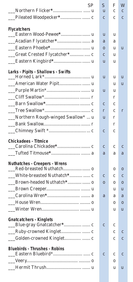| SP                                   | S            | F | W            |
|--------------------------------------|--------------|---|--------------|
|                                      | u            | C | C            |
|                                      | $\mathbf{C}$ | C | $\mathbf c$  |
| <b>Flycatchers</b>                   |              |   |              |
| Eastern Wood-Pewee* u                | u            | u |              |
|                                      | a            | a |              |
|                                      | $\bf{0}$     | u | u            |
|                                      | $\mathbf{C}$ | u |              |
| __Eastern Kingbird* u                | u            | u |              |
| Larks - Pipits - Shallows - Swifts   |              |   |              |
|                                      | u            | u | u            |
|                                      |              | u | u            |
|                                      | u            | u |              |
|                                      |              | r |              |
|                                      | $\mathbf{C}$ | C |              |
|                                      | r            | C | r            |
| Northern Rough-winged Swallow*  u    | u            | r |              |
|                                      |              | r |              |
|                                      | $\mathbf{C}$ | C |              |
| <b>Chickadees - Titmice</b>          |              |   |              |
|                                      | C            | C | $\mathbf{c}$ |
|                                      | a            | a | a            |
| <b>Nuthatches - Creepers - Wrens</b> |              | 0 | $\bf{0}$     |
|                                      | $\mathbf{C}$ | C | $\mathbf c$  |
|                                      | $\mathbf{0}$ | 0 | $\bf{0}$     |
|                                      |              | u | u            |
|                                      | a            | a | a            |
|                                      |              | 0 | $\bf{0}$     |
|                                      |              | u | -u           |
| <b>Gnatcatchers - Kinglets</b>       |              |   |              |
|                                      | $\mathbf{C}$ | C |              |
| Ruby-crowned Kinglet  c              |              | C | c            |
|                                      |              | с | $\mathbf c$  |
| <b>Bluebirds - Thrushes - Robins</b> |              |   |              |
|                                      | $\mathbf c$  | C | c            |
|                                      |              | 0 |              |
|                                      |              | u | u            |
|                                      |              |   |              |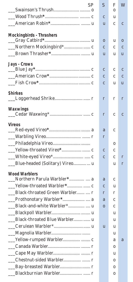| SP                              | $\mathcal{S}$ | F            | W            |
|---------------------------------|---------------|--------------|--------------|
|                                 |               | $\Omega$     |              |
|                                 |               | u            |              |
|                                 | u             | $\mathbf c$  | $\mathbf{C}$ |
| <b>Mockingbirds - Thrashers</b> |               |              |              |
|                                 | $\bf{0}$      | u            | $\mathbf{0}$ |
|                                 | $\mathbf{C}$  | $\mathbf c$  | $\mathbf{C}$ |
|                                 | u             | u            | u            |
| <b>Jays - Crows</b>             |               |              |              |
|                                 | $\mathbf{C}$  | $\mathbf c$  | $\mathbf{C}$ |
|                                 | $\mathbf{C}$  | C            | $\mathbf{C}$ |
|                                 | $\mathbf{C}$  | u            | u            |
| <b>Shirkes</b>                  |               |              |              |
|                                 | r             | r            | r            |
| Waxwings                        |               |              |              |
|                                 | r             | $\mathbf{C}$ | $\mathbf{C}$ |
| <b>Vireos</b>                   |               |              |              |
|                                 | a             | $\mathbf c$  |              |
|                                 | r             |              |              |
|                                 |               | 0            |              |
|                                 | $\mathbf c$   | C            |              |
|                                 |               | $\mathbf{C}$ | r            |
| Blue-headed (Solitary) Vireo u  |               | u            | r            |
| <b>Wood Warblers</b>            |               |              |              |
| Northern Parula Warbler*  a     | a             | C            |              |
| __Yellow-throated Warbler*  c   | $\mathbf{C}$  | u            |              |
| Black-throated Green Warbler  r | r             | r            |              |
|                                 | a             | C            |              |
|                                 | $\mathbf{O}$  | $\mathbf{C}$ |              |
|                                 |               | u            |              |
| Black-throated Blue Warbler u   |               | u            |              |
|                                 | u             | u            |              |
|                                 |               | u            |              |
| Yellow-rumped Warbler  c        |               | a            | a            |
|                                 |               | 0            |              |
|                                 |               | u            |              |
|                                 |               | 0            |              |
|                                 |               | 0            |              |
|                                 |               | 0            |              |
|                                 |               |              |              |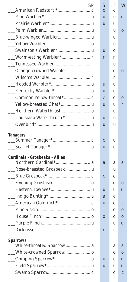| <b>SP</b>                             | $\mathcal{S}% _{CS}^{ab}(A)$ | F            | W            |
|---------------------------------------|------------------------------|--------------|--------------|
|                                       | $\overline{C}$               | $\mathbf{C}$ |              |
|                                       | u                            | u            | u            |
|                                       | u                            | u            |              |
|                                       |                              | u            | $\bf{0}$     |
|                                       |                              | u            |              |
|                                       |                              | u            |              |
|                                       | u                            | 0            |              |
|                                       | r                            | r            |              |
| ٠                                     |                              | u            |              |
|                                       |                              | 0            | $\bf{0}$     |
|                                       |                              | r            |              |
|                                       | u                            | u            |              |
|                                       | u                            | u            |              |
|                                       | $\mathbf{C}$                 | C            | $\bf{0}$     |
|                                       | u                            | u            | r            |
|                                       |                              | u            |              |
|                                       | u                            | u            |              |
|                                       | u                            | u            |              |
| <b>Tanagers</b>                       |                              |              |              |
|                                       | $\mathbf{C}$                 | u            |              |
|                                       | u                            | u            |              |
| <b>Cardinals - Grosbeaks - Allies</b> |                              |              |              |
|                                       | a                            | a            | a            |
| $\mathbb{R}^2$                        |                              | u            |              |
|                                       | $\mathbf{C}$                 | C            |              |
|                                       |                              | 0            | $\bf{0}$     |
| $\overline{\phantom{a}}$              | u                            | u            | u            |
|                                       | a                            | a            |              |
|                                       | u                            | C            | $\mathbf{C}$ |
|                                       |                              | 0            | $\mathbf{0}$ |
|                                       | $\bf{0}$                     | 0            | $\bf{0}$     |
|                                       |                              | u            | u            |
|                                       | r                            | r            |              |
|                                       |                              |              |              |
| <b>Sparrows</b>                       |                              | a            | a            |
| White-crowned Sparrow o               |                              | 0            | $\bf{0}$     |
|                                       | u                            | u            | u            |
|                                       | u                            | u            | u            |
|                                       |                              | c            | $\mathbf c$  |
|                                       |                              |              |              |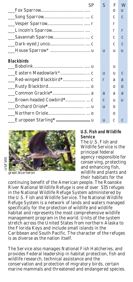| .SP                   | $\mathcal{S}$ | F        | M            |
|-----------------------|---------------|----------|--------------|
|                       |               | $\Omega$ | Ш            |
|                       |               | C        | C            |
|                       |               | r        |              |
|                       |               | r        | r            |
|                       |               | C        | C            |
|                       |               | C        | C            |
|                       | $\mathbf{u}$  | u        | $\mathbf{u}$ |
| <b>Blackbirds</b>     |               |          |              |
|                       |               | u        |              |
|                       | $\mathbf{u}$  | u        | $\mathbf C$  |
|                       | r             | a        | a            |
|                       |               | $\Omega$ | $\Omega$     |
|                       | a             | a        | a            |
|                       | $\mathbf{C}$  | u        | u            |
|                       | $\mathbf{u}$  | 0        |              |
|                       |               | 0        |              |
| European Starling*  u | u             | C        |              |



#### *great blue heron*

#### **U.S. Fish and Wildlife Service**

The U.S. Fish and Wildlife Service is the principal federal agency responsible for conserving, protecting and enhancing fish, wildlife and plants and their habitats for the

continuing benefit of the American people. The Roanoke River National Wildlife Refuge is one of over 535 refuges in the National Wildlife Refuge System administered by the U.S. Fish and Wildlife Service. The National Wildlife Refuge System is a network of lands and waters managed specifically for the protection of wildlife and wildlife habitat and represents the most comprehensive wildlife management program in the world. Units of the system stretch across the United States from northern Alaska to the Florida Keys and include small islands in the Caribbean and South Pacific. The character of the refuges is as diverse as the nation itself.

The Service also manages National Fish Hatcheries, and provides Federal leadership in habitat protection, fish and wildlife research, technical assistance and the conservation and protection of migratory birds, certain marine mammals and threatened and endangered species.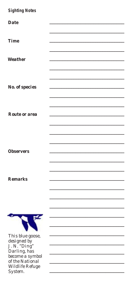## **Sighting Notes**

System.

| <b>Date</b>           |  |
|-----------------------|--|
|                       |  |
|                       |  |
|                       |  |
| <b>Time</b>           |  |
|                       |  |
|                       |  |
|                       |  |
|                       |  |
| Weather               |  |
|                       |  |
|                       |  |
|                       |  |
|                       |  |
|                       |  |
|                       |  |
| <b>No.</b> of species |  |
|                       |  |
|                       |  |
|                       |  |
|                       |  |
|                       |  |
|                       |  |
| <b>Route or area</b>  |  |
|                       |  |
|                       |  |
|                       |  |
|                       |  |
|                       |  |
|                       |  |
|                       |  |
|                       |  |
|                       |  |
| <b>Observers</b>      |  |
|                       |  |
|                       |  |
|                       |  |
|                       |  |
|                       |  |
|                       |  |
| <b>Remarks</b>        |  |
|                       |  |
|                       |  |
|                       |  |
|                       |  |
|                       |  |
|                       |  |
|                       |  |
|                       |  |
|                       |  |
|                       |  |
|                       |  |
|                       |  |
|                       |  |
| This blue goose,      |  |
|                       |  |
| designed by           |  |
| J. N. "Ding"          |  |
| Darling, has          |  |
|                       |  |
| become a symbol       |  |
| of the National       |  |
| Wildlife Refuge       |  |
|                       |  |